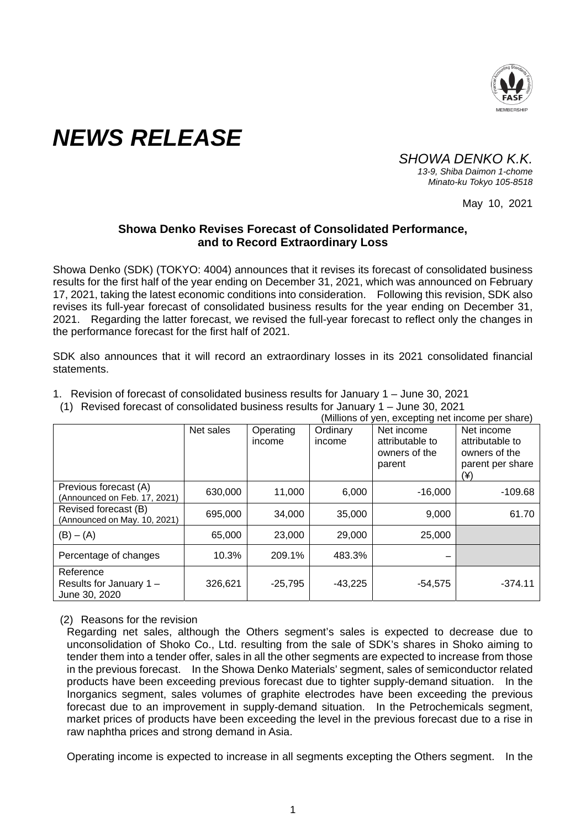

## *NEWS RELEASE*

*SHOWA DENKO K.K. 13-9, Shiba Daimon 1-chome*

*Minato-ku Tokyo 105-8518*

May 10, 2021

## **Showa Denko Revises Forecast of Consolidated Performance, and to Record Extraordinary Loss**

Showa Denko (SDK) (TOKYO: 4004) announces that it revises its forecast of consolidated business results for the first half of the year ending on December 31, 2021, which was announced on February 17, 2021, taking the latest economic conditions into consideration. Following this revision, SDK also revises its full-year forecast of consolidated business results for the year ending on December 31, 2021. Regarding the latter forecast, we revised the full-year forecast to reflect only the changes in the performance forecast for the first half of 2021.

SDK also announces that it will record an extraordinary losses in its 2021 consolidated financial statements.

|  |  | 1. Revision of forecast of consolidated business results for January 1 - June 30, 2021 |  |  |
|--|--|----------------------------------------------------------------------------------------|--|--|
|--|--|----------------------------------------------------------------------------------------|--|--|

(1) Revised forecast of consolidated business results for January 1 – June 30, 2021

|                                                       | (Millions of yen, excepting net income per share) |                     |                    |                                                          |                                                                           |
|-------------------------------------------------------|---------------------------------------------------|---------------------|--------------------|----------------------------------------------------------|---------------------------------------------------------------------------|
|                                                       | Net sales                                         | Operating<br>income | Ordinary<br>income | Net income<br>attributable to<br>owners of the<br>parent | Net income<br>attributable to<br>owners of the<br>parent per share<br>(¥) |
| Previous forecast (A)<br>(Announced on Feb. 17, 2021) | 630,000                                           | 11,000              | 6,000              | $-16,000$                                                | $-109.68$                                                                 |
| Revised forecast (B)<br>(Announced on May. 10, 2021)  | 695,000                                           | 34,000              | 35,000             | 9,000                                                    | 61.70                                                                     |
| $(B) - (A)$                                           | 65,000                                            | 23,000              | 29,000             | 25,000                                                   |                                                                           |
| Percentage of changes                                 | 10.3%                                             | 209.1%              | 483.3%             |                                                          |                                                                           |
| Reference<br>Results for January 1 -<br>June 30, 2020 | 326,621                                           | $-25,795$           | $-43,225$          | $-54,575$                                                | $-374.11$                                                                 |

## (2) Reasons for the revision

Regarding net sales, although the Others segment's sales is expected to decrease due to unconsolidation of Shoko Co., Ltd. resulting from the sale of SDK's shares in Shoko aiming to tender them into a tender offer, sales in all the other segments are expected to increase from those in the previous forecast. In the Showa Denko Materials' segment, sales of semiconductor related products have been exceeding previous forecast due to tighter supply-demand situation. In the Inorganics segment, sales volumes of graphite electrodes have been exceeding the previous forecast due to an improvement in supply-demand situation. In the Petrochemicals segment, market prices of products have been exceeding the level in the previous forecast due to a rise in raw naphtha prices and strong demand in Asia.

Operating income is expected to increase in all segments excepting the Others segment. In the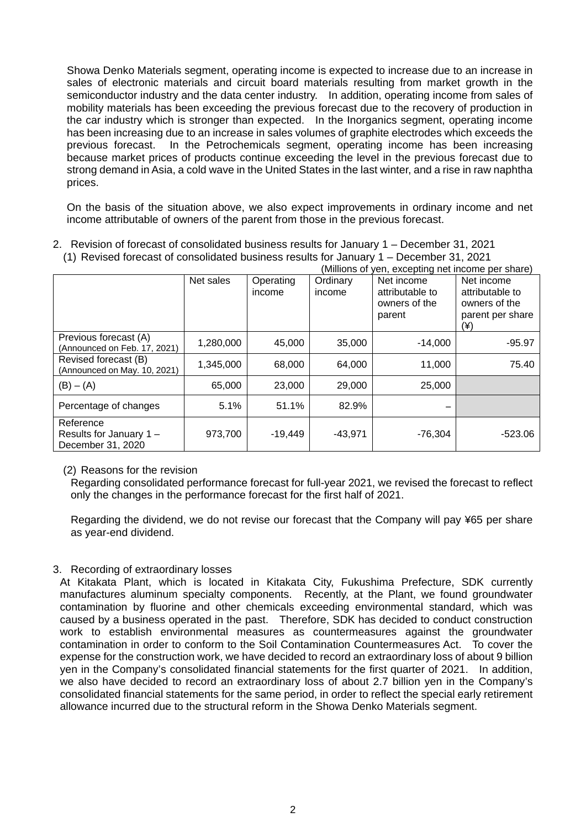Showa Denko Materials segment, operating income is expected to increase due to an increase in sales of electronic materials and circuit board materials resulting from market growth in the semiconductor industry and the data center industry. In addition, operating income from sales of mobility materials has been exceeding the previous forecast due to the recovery of production in the car industry which is stronger than expected. In the Inorganics segment, operating income has been increasing due to an increase in sales volumes of graphite electrodes which exceeds the previous forecast. In the Petrochemicals segment, operating income has been increasing because market prices of products continue exceeding the level in the previous forecast due to strong demand in Asia, a cold wave in the United States in the last winter, and a rise in raw naphtha prices.

On the basis of the situation above, we also expect improvements in ordinary income and net income attributable of owners of the parent from those in the previous forecast.

2. Revision of forecast of consolidated business results for January 1 – December 31, 2021

|                                                           | ----------------<br>(Millions of yen, excepting net income per share) |                     |                    |                                                          |                                                                           |
|-----------------------------------------------------------|-----------------------------------------------------------------------|---------------------|--------------------|----------------------------------------------------------|---------------------------------------------------------------------------|
|                                                           | Net sales                                                             | Operating<br>income | Ordinary<br>income | Net income<br>attributable to<br>owners of the<br>parent | Net income<br>attributable to<br>owners of the<br>parent per share<br>(¥) |
| Previous forecast (A)<br>(Announced on Feb. 17, 2021)     | 1,280,000                                                             | 45,000              | 35,000             | $-14,000$                                                | $-95.97$                                                                  |
| Revised forecast (B)<br>(Announced on May. 10, 2021)      | 1,345,000                                                             | 68,000              | 64,000             | 11,000                                                   | 75.40                                                                     |
| $(B) - (A)$                                               | 65,000                                                                | 23,000              | 29,000             | 25,000                                                   |                                                                           |
| Percentage of changes                                     | 5.1%                                                                  | 51.1%               | 82.9%              |                                                          |                                                                           |
| Reference<br>Results for January 1 -<br>December 31, 2020 | 973,700                                                               | $-19,449$           | $-43,971$          | $-76,304$                                                | $-523.06$                                                                 |

(1) Revised forecast of consolidated business results for January 1 – December 31, 2021

(2) Reasons for the revision

Regarding consolidated performance forecast for full-year 2021, we revised the forecast to reflect only the changes in the performance forecast for the first half of 2021.

Regarding the dividend, we do not revise our forecast that the Company will pay ¥65 per share as year-end dividend.

## 3. Recording of extraordinary losses

At Kitakata Plant, which is located in Kitakata City, Fukushima Prefecture, SDK currently manufactures aluminum specialty components. Recently, at the Plant, we found groundwater contamination by fluorine and other chemicals exceeding environmental standard, which was caused by a business operated in the past. Therefore, SDK has decided to conduct construction work to establish environmental measures as countermeasures against the groundwater contamination in order to conform to the Soil Contamination Countermeasures Act. To cover the expense for the construction work, we have decided to record an extraordinary loss of about 9 billion yen in the Company's consolidated financial statements for the first quarter of 2021. In addition, we also have decided to record an extraordinary loss of about 2.7 billion yen in the Company's consolidated financial statements for the same period, in order to reflect the special early retirement allowance incurred due to the structural reform in the Showa Denko Materials segment.